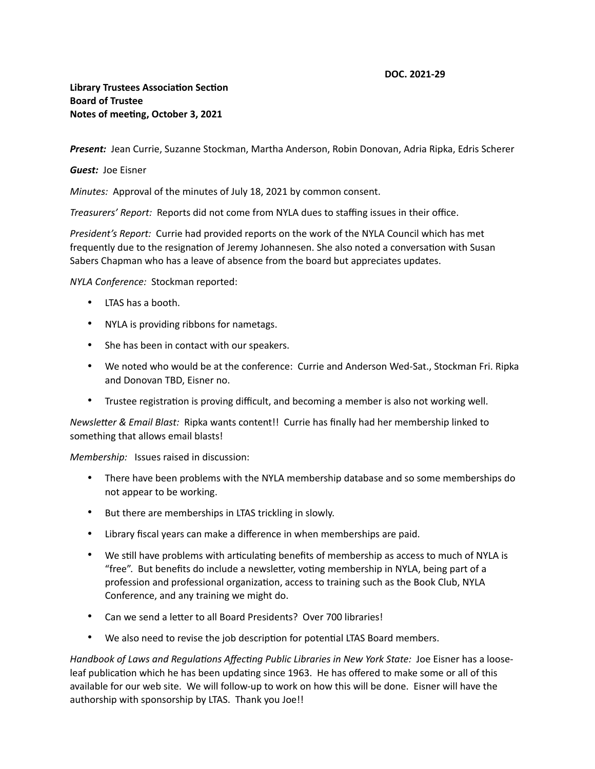## **DOC. 2021-29**

## **Library Trustees Association Section Board of Trustee Notes of meeting, October 3, 2021**

*Present:* Jean Currie, Suzanne Stockman, Martha Anderson, Robin Donovan, Adria Ripka, Edris Scherer

## *Guest:* Joe Eisner

*Minutes:* Approval of the minutes of July 18, 2021 by common consent.

*Treasurers' Report:* Reports did not come from NYLA dues to staffing issues in their office.

*President's Report:* Currie had provided reports on the work of the NYLA Council which has met frequently due to the resignation of Jeremy Johannesen. She also noted a conversation with Susan Sabers Chapman who has a leave of absence from the board but appreciates updates.

*NYLA Conference:* Stockman reported:

- LTAS has a booth.
- NYLA is providing ribbons for nametags.
- She has been in contact with our speakers.
- We noted who would be at the conference: Currie and Anderson Wed-Sat., Stockman Fri. Ripka and Donovan TBD, Eisner no.
- Trustee registration is proving difficult, and becoming a member is also not working well.

*Newsletter & Email Blast:* Ripka wants content!! Currie has finally had her membership linked to something that allows email blasts!

*Membership:* Issues raised in discussion:

- There have been problems with the NYLA membership database and so some memberships do not appear to be working.
- But there are memberships in LTAS trickling in slowly.
- Library fiscal years can make a difference in when memberships are paid.
- We still have problems with articulating benefits of membership as access to much of NYLA is "free". But benefits do include a newsletter, voting membership in NYLA, being part of a profession and professional organization, access to training such as the Book Club, NYLA Conference, and any training we might do.
- Can we send a letter to all Board Presidents? Over 700 libraries!
- We also need to revise the job description for potential LTAS Board members.

*Handbook of Laws and Regulations Affecting Public Libraries in New York State:* Joe Eisner has a looseleaf publication which he has been updating since 1963. He has offered to make some or all of this available for our web site. We will follow-up to work on how this will be done. Eisner will have the authorship with sponsorship by LTAS. Thank you Joe!!